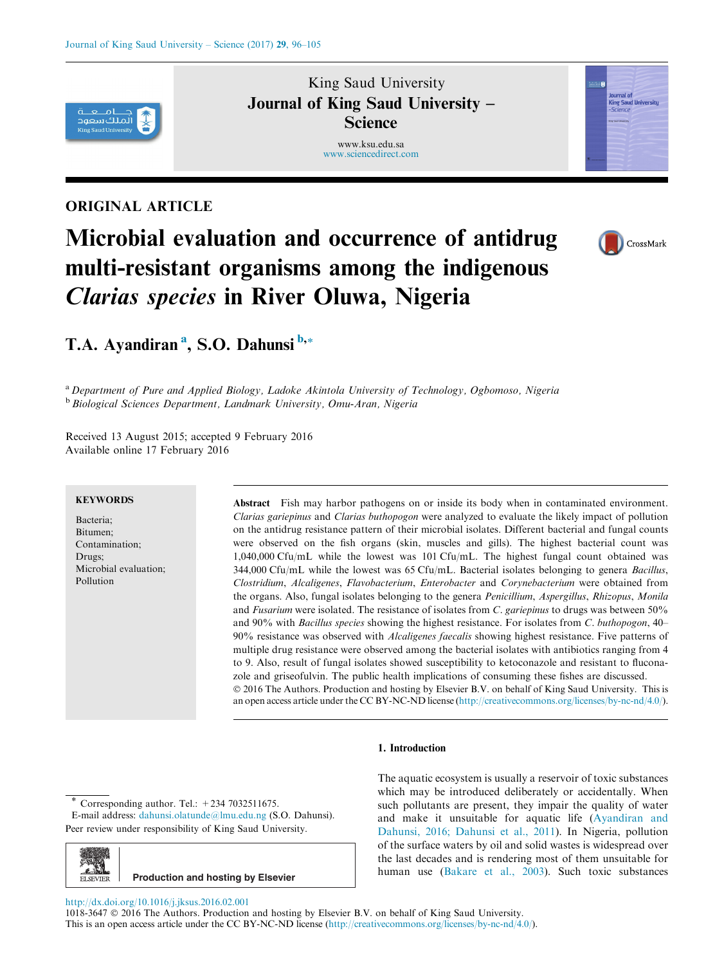

# ORIGINAL ARTICLE

# Microbial evaluation and occurrence of antidrug multi-resistant organisms among the indigenous Clarias species in River Oluwa, Nigeria

King Saud University Journal of King Saud University – **Science** www.ksu.edu.sa [www.sciencedirect.com](http://www.sciencedirect.com/science/journal/10183647)



Journal of<br>King Saud University

*Science* 

# T.A. Ayandiran<sup>a</sup>, S.O. Dahunsi <sup>b,\*</sup>

<sup>a</sup> Department of Pure and Applied Biology, Ladoke Akintola University of Technology, Ogbomoso, Nigeria <sup>b</sup> Biological Sciences Department, Landmark University, Omu-Aran, Nigeria

Received 13 August 2015; accepted 9 February 2016 Available online 17 February 2016

## **KEYWORDS**

Bacteria; Bitumen; Contamination; Drugs; Microbial evaluation; Pollution

Abstract Fish may harbor pathogens on or inside its body when in contaminated environment. Clarias gariepinus and Clarias buthopogon were analyzed to evaluate the likely impact of pollution on the antidrug resistance pattern of their microbial isolates. Different bacterial and fungal counts were observed on the fish organs (skin, muscles and gills). The highest bacterial count was 1,040,000 Cfu/mL while the lowest was 101 Cfu/mL. The highest fungal count obtained was 344,000 Cfu/mL while the lowest was  $65 \text{Cfu/mL}$ . Bacterial isolates belonging to genera *Bacillus*, Clostridium, Alcaligenes, Flavobacterium, Enterobacter and Corynebacterium were obtained from the organs. Also, fungal isolates belonging to the genera Penicillium, Aspergillus, Rhizopus, Monila and Fusarium were isolated. The resistance of isolates from C. gariepinus to drugs was between 50% and 90% with *Bacillus species* showing the highest resistance. For isolates from C. buthopogon, 40– 90% resistance was observed with Alcaligenes faecalis showing highest resistance. Five patterns of multiple drug resistance were observed among the bacterial isolates with antibiotics ranging from 4 to 9. Also, result of fungal isolates showed susceptibility to ketoconazole and resistant to fluconazole and griseofulvin. The public health implications of consuming these fishes are discussed. 2016 The Authors. Production and hosting by Elsevier B.V. on behalf of King Saud University. This is an open access article under the CC BY-NC-ND license (<http://creativecommons.org/licenses/by-nc-nd/4.0/>).

#### 1. Introduction

Corresponding author. Tel.:  $+234$  7032511675.

E-mail address: [dahunsi.olatunde@lmu.edu.ng](mailto:dahunsi.olatunde@lmu.edu.ng) (S.O. Dahunsi). Peer review under responsibility of King Saud University.



**Production and hosting by Elsevier**

The aquatic ecosystem is usually a reservoir of toxic substances which may be introduced deliberately or accidentally. When such pollutants are present, they impair the quality of water and make it unsuitable for aquatic life [\(Ayandiran and](#page-8-0) [Dahunsi, 2016; Dahunsi et al., 2011](#page-8-0)). In Nigeria, pollution of the surface waters by oil and solid wastes is widespread over the last decades and is rendering most of them unsuitable for human use [\(Bakare et al., 2003\)](#page-8-0). Such toxic substances

<http://dx.doi.org/10.1016/j.jksus.2016.02.001>

1018-3647 2016 The Authors. Production and hosting by Elsevier B.V. on behalf of King Saud University. This is an open access article under the CC BY-NC-ND license [\(http://creativecommons.org/licenses/by-nc-nd/4.0/\)](http://creativecommons.org/licenses/by-nc-nd/4.0/).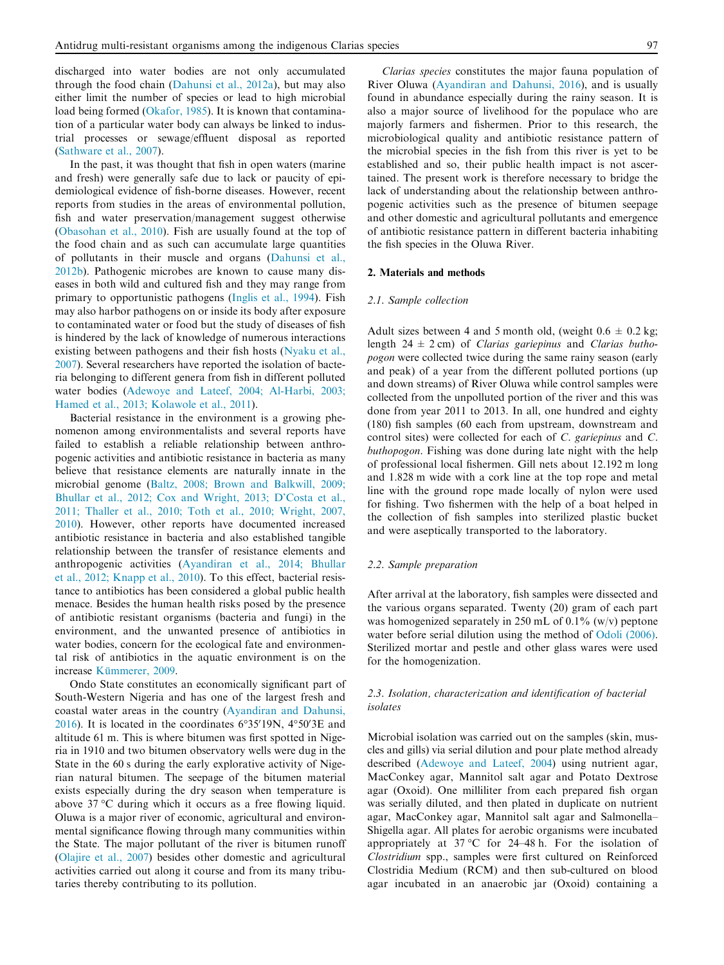discharged into water bodies are not only accumulated through the food chain ([Dahunsi et al., 2012a](#page-8-0)), but may also either limit the number of species or lead to high microbial load being formed [\(Okafor, 1985](#page-9-0)). It is known that contamination of a particular water body can always be linked to industrial processes or sewage/effluent disposal as reported [\(Sathware et al., 2007\)](#page-9-0).

In the past, it was thought that fish in open waters (marine and fresh) were generally safe due to lack or paucity of epidemiological evidence of fish-borne diseases. However, recent reports from studies in the areas of environmental pollution, fish and water preservation/management suggest otherwise [\(Obasohan et al., 2010\)](#page-9-0). Fish are usually found at the top of the food chain and as such can accumulate large quantities of pollutants in their muscle and organs ([Dahunsi et al.,](#page-8-0) [2012b](#page-8-0)). Pathogenic microbes are known to cause many diseases in both wild and cultured fish and they may range from primary to opportunistic pathogens ([Inglis et al., 1994\)](#page-9-0). Fish may also harbor pathogens on or inside its body after exposure to contaminated water or food but the study of diseases of fish is hindered by the lack of knowledge of numerous interactions existing between pathogens and their fish hosts ([Nyaku et al.,](#page-9-0) [2007](#page-9-0)). Several researchers have reported the isolation of bacteria belonging to different genera from fish in different polluted water bodies [\(Adewoye and Lateef, 2004; Al-Harbi, 2003;](#page-8-0) [Hamed et al., 2013; Kolawole et al., 2011\)](#page-8-0).

Bacterial resistance in the environment is a growing phenomenon among environmentalists and several reports have failed to establish a reliable relationship between anthropogenic activities and antibiotic resistance in bacteria as many believe that resistance elements are naturally innate in the microbial genome ([Baltz, 2008; Brown and Balkwill, 2009;](#page-8-0) [Bhullar et al., 2012; Cox and Wright, 2013; D'Costa et al.,](#page-8-0) [2011; Thaller et al., 2010; Toth et al., 2010; Wright, 2007,](#page-8-0) [2010](#page-8-0)). However, other reports have documented increased antibiotic resistance in bacteria and also established tangible relationship between the transfer of resistance elements and anthropogenic activities [\(Ayandiran et al., 2014; Bhullar](#page-8-0) [et al., 2012; Knapp et al., 2010](#page-8-0)). To this effect, bacterial resistance to antibiotics has been considered a global public health menace. Besides the human health risks posed by the presence of antibiotic resistant organisms (bacteria and fungi) in the environment, and the unwanted presence of antibiotics in water bodies, concern for the ecological fate and environmental risk of antibiotics in the aquatic environment is on the increase Kümmerer, 2009.

Ondo State constitutes an economically significant part of South-Western Nigeria and has one of the largest fresh and coastal water areas in the country ([Ayandiran and Dahunsi,](#page-8-0) [2016](#page-8-0)). It is located in the coordinates  $6^{\circ}35'19N$ ,  $4^{\circ}50'3E$  and altitude 61 m. This is where bitumen was first spotted in Nigeria in 1910 and two bitumen observatory wells were dug in the State in the 60 s during the early explorative activity of Nigerian natural bitumen. The seepage of the bitumen material exists especially during the dry season when temperature is above  $37^{\circ}$ C during which it occurs as a free flowing liquid. Oluwa is a major river of economic, agricultural and environmental significance flowing through many communities within the State. The major pollutant of the river is bitumen runoff [\(Olajire et al., 2007](#page-9-0)) besides other domestic and agricultural activities carried out along it course and from its many tributaries thereby contributing to its pollution.

Clarias species constitutes the major fauna population of River Oluwa ([Ayandiran and Dahunsi, 2016\)](#page-8-0), and is usually found in abundance especially during the rainy season. It is also a major source of livelihood for the populace who are majorly farmers and fishermen. Prior to this research, the microbiological quality and antibiotic resistance pattern of the microbial species in the fish from this river is yet to be established and so, their public health impact is not ascertained. The present work is therefore necessary to bridge the lack of understanding about the relationship between anthropogenic activities such as the presence of bitumen seepage and other domestic and agricultural pollutants and emergence of antibiotic resistance pattern in different bacteria inhabiting the fish species in the Oluwa River.

#### 2. Materials and methods

#### 2.1. Sample collection

Adult sizes between 4 and 5 month old, (weight  $0.6 \pm 0.2$  kg; length  $24 \pm 2$  cm) of *Clarias gariepinus* and *Clarias butho*pogon were collected twice during the same rainy season (early and peak) of a year from the different polluted portions (up and down streams) of River Oluwa while control samples were collected from the unpolluted portion of the river and this was done from year 2011 to 2013. In all, one hundred and eighty (180) fish samples (60 each from upstream, downstream and control sites) were collected for each of C. gariepinus and C. buthopogon. Fishing was done during late night with the help of professional local fishermen. Gill nets about 12.192 m long and 1.828 m wide with a cork line at the top rope and metal line with the ground rope made locally of nylon were used for fishing. Two fishermen with the help of a boat helped in the collection of fish samples into sterilized plastic bucket and were aseptically transported to the laboratory.

#### 2.2. Sample preparation

After arrival at the laboratory, fish samples were dissected and the various organs separated. Twenty (20) gram of each part was homogenized separately in 250 mL of 0.1%  $(w/v)$  peptone water before serial dilution using the method of [Odoli \(2006\)](#page-9-0). Sterilized mortar and pestle and other glass wares were used for the homogenization.

#### 2.3. Isolation, characterization and identification of bacterial isolates

Microbial isolation was carried out on the samples (skin, muscles and gills) via serial dilution and pour plate method already described ([Adewoye and Lateef, 2004](#page-8-0)) using nutrient agar, MacConkey agar, Mannitol salt agar and Potato Dextrose agar (Oxoid). One milliliter from each prepared fish organ was serially diluted, and then plated in duplicate on nutrient agar, MacConkey agar, Mannitol salt agar and Salmonella– Shigella agar. All plates for aerobic organisms were incubated appropriately at  $37^{\circ}$ C for 24–48 h. For the isolation of Clostridium spp., samples were first cultured on Reinforced Clostridia Medium (RCM) and then sub-cultured on blood agar incubated in an anaerobic jar (Oxoid) containing a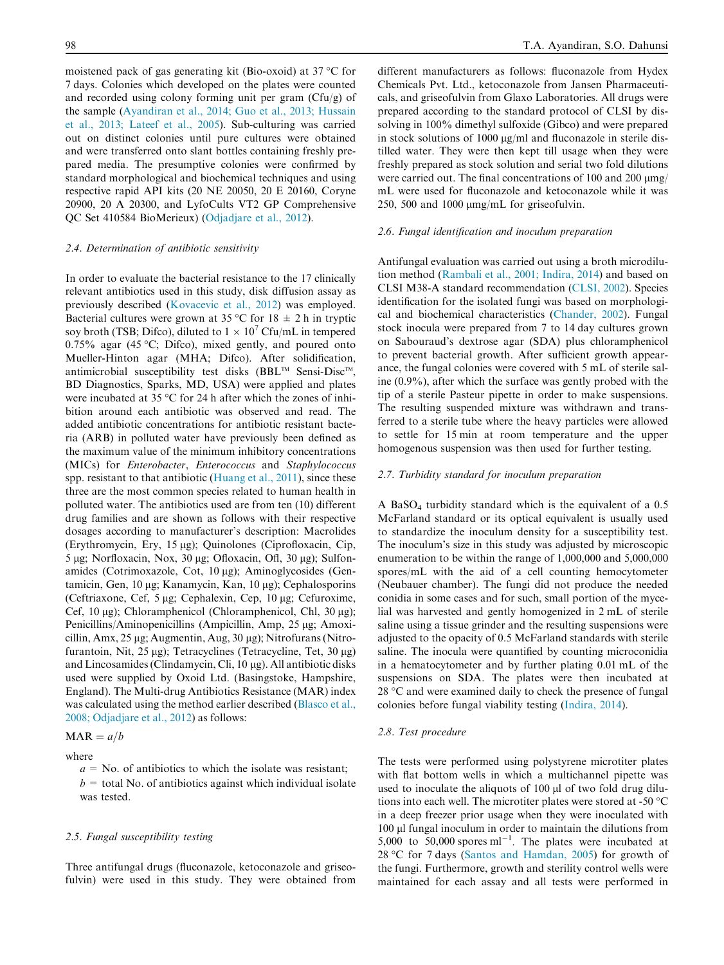moistened pack of gas generating kit (Bio-oxoid) at  $37^{\circ}$ C for 7 days. Colonies which developed on the plates were counted and recorded using colony forming unit per gram  $(Cfu/g)$  of the sample [\(Ayandiran et al., 2014; Guo et al., 2013; Hussain](#page-8-0) [et al., 2013; Lateef et al., 2005\)](#page-8-0). Sub-culturing was carried out on distinct colonies until pure cultures were obtained and were transferred onto slant bottles containing freshly prepared media. The presumptive colonies were confirmed by standard morphological and biochemical techniques and using respective rapid API kits (20 NE 20050, 20 E 20160, Coryne 20900, 20 A 20300, and LyfoCults VT2 GP Comprehensive QC Set 410584 BioMerieux) [\(Odjadjare et al., 2012\)](#page-9-0).

#### 2.4. Determination of antibiotic sensitivity

In order to evaluate the bacterial resistance to the 17 clinically relevant antibiotics used in this study, disk diffusion assay as previously described [\(Kovacevic et al., 2012](#page-9-0)) was employed. Bacterial cultures were grown at 35 °C for 18  $\pm$  2 h in tryptic soy broth (TSB; Difco), diluted to  $1 \times 10^7$  Cfu/mL in tempered  $0.75\%$  agar (45 °C; Difco), mixed gently, and poured onto Mueller-Hinton agar (MHA; Difco). After solidification, antimicrobial susceptibility test disks (BBL<sup>TM</sup> Sensi-Disc<sup>TM</sup>, BD Diagnostics, Sparks, MD, USA) were applied and plates were incubated at 35  $\degree$ C for 24 h after which the zones of inhibition around each antibiotic was observed and read. The added antibiotic concentrations for antibiotic resistant bacteria (ARB) in polluted water have previously been defined as the maximum value of the minimum inhibitory concentrations (MICs) for Enterobacter, Enterococcus and Staphylococcus spp. resistant to that antibiotic ([Huang et al., 2011](#page-8-0)), since these three are the most common species related to human health in polluted water. The antibiotics used are from ten (10) different drug families and are shown as follows with their respective dosages according to manufacturer's description: Macrolides (Erythromycin, Ery, 15 µg); Quinolones (Ciprofloxacin, Cip,  $5 \mu$ g; Norfloxacin, Nox, 30  $\mu$ g; Ofloxacin, Ofl, 30  $\mu$ g); Sulfonamides (Cotrimoxazole, Cot, 10 µg); Aminoglycosides (Gentamicin, Gen, 10 μg; Kanamycin, Kan, 10 μg); Cephalosporins (Ceftriaxone, Cef,  $5 \mu$ g; Cephalexin, Cep, 10  $\mu$ g; Cefuroxime, Cef,  $10 \mu$ g); Chloramphenicol (Chloramphenicol, Chl,  $30 \mu$ g); Penicillins/Aminopenicillins (Ampicillin, Amp, 25 µg; Amoxicillin, Amx, 25 µg; Augmentin, Aug, 30 µg); Nitrofurans (Nitrofurantoin, Nit,  $25 \mu g$ ); Tetracyclines (Tetracycline, Tet,  $30 \mu g$ ) and Lincosamides (Clindamycin, Cli,  $10 \mu$ g). All antibiotic disks used were supplied by Oxoid Ltd. (Basingstoke, Hampshire, England). The Multi-drug Antibiotics Resistance (MAR) index was calculated using the method earlier described ([Blasco et al.,](#page-8-0) [2008; Odjadjare et al., 2012\)](#page-8-0) as follows:

$$
MAR = a/b
$$

#### where

 $a = No$ . of antibiotics to which the isolate was resistant;  $b =$  total No. of antibiotics against which individual isolate was tested.

#### 2.5. Fungal susceptibility testing

Three antifungal drugs (fluconazole, ketoconazole and griseofulvin) were used in this study. They were obtained from different manufacturers as follows: fluconazole from Hydex Chemicals Pvt. Ltd., ketoconazole from Jansen Pharmaceuticals, and griseofulvin from Glaxo Laboratories. All drugs were prepared according to the standard protocol of CLSI by dissolving in 100% dimethyl sulfoxide (Gibco) and were prepared in stock solutions of  $1000 \mu g/ml$  and fluconazole in sterile distilled water. They were then kept till usage when they were freshly prepared as stock solution and serial two fold dilutions were carried out. The final concentrations of 100 and 200  $\mu$ mg/ mL were used for fluconazole and ketoconazole while it was 250, 500 and 1000  $\mu$ mg/mL for griseofulvin.

#### 2.6. Fungal identification and inoculum preparation

Antifungal evaluation was carried out using a broth microdilution method ([Rambali et al., 2001; Indira, 2014\)](#page-9-0) and based on CLSI M38-A standard recommendation ([CLSI, 2002](#page-8-0)). Species identification for the isolated fungi was based on morphological and biochemical characteristics [\(Chander, 2002](#page-8-0)). Fungal stock inocula were prepared from 7 to 14 day cultures grown on Sabouraud's dextrose agar (SDA) plus chloramphenicol to prevent bacterial growth. After sufficient growth appearance, the fungal colonies were covered with 5 mL of sterile saline (0.9%), after which the surface was gently probed with the tip of a sterile Pasteur pipette in order to make suspensions. The resulting suspended mixture was withdrawn and transferred to a sterile tube where the heavy particles were allowed to settle for 15 min at room temperature and the upper homogenous suspension was then used for further testing.

#### 2.7. Turbidity standard for inoculum preparation

A Ba $SO<sub>4</sub>$  turbidity standard which is the equivalent of a 0.5 McFarland standard or its optical equivalent is usually used to standardize the inoculum density for a susceptibility test. The inoculum's size in this study was adjusted by microscopic enumeration to be within the range of 1,000,000 and 5,000,000 spores/mL with the aid of a cell counting hemocytometer (Neubauer chamber). The fungi did not produce the needed conidia in some cases and for such, small portion of the mycelial was harvested and gently homogenized in 2 mL of sterile saline using a tissue grinder and the resulting suspensions were adjusted to the opacity of 0.5 McFarland standards with sterile saline. The inocula were quantified by counting microconidia in a hematocytometer and by further plating 0.01 mL of the suspensions on SDA. The plates were then incubated at  $28 \degree C$  and were examined daily to check the presence of fungal colonies before fungal viability testing ([Indira, 2014\)](#page-8-0).

#### 2.8. Test procedure

The tests were performed using polystyrene microtiter plates with flat bottom wells in which a multichannel pipette was used to inoculate the aliquots of 100 µl of two fold drug dilutions into each well. The microtiter plates were stored at -50 °C in a deep freezer prior usage when they were inoculated with 100 µl fungal inoculum in order to maintain the dilutions from 5,000 to 50,000 spores  $ml^{-1}$ . The plates were incubated at  $28 °C$  for 7 days [\(Santos and Hamdan, 2005](#page-9-0)) for growth of the fungi. Furthermore, growth and sterility control wells were maintained for each assay and all tests were performed in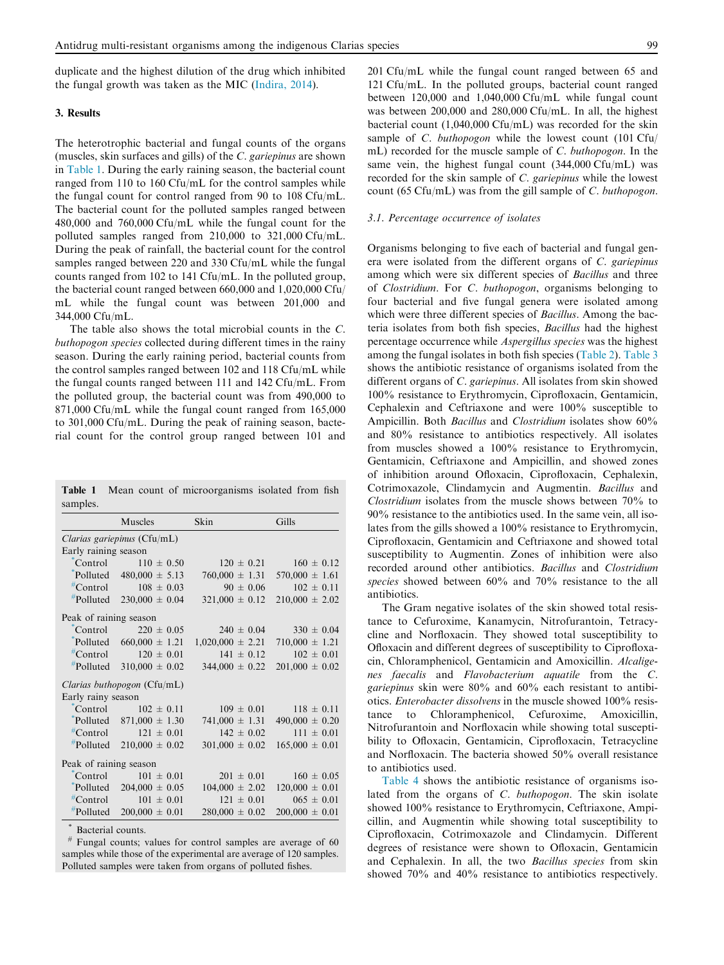duplicate and the highest dilution of the drug which inhibited the fungal growth was taken as the MIC ([Indira, 2014\)](#page-8-0).

### 3. Results

The heterotrophic bacterial and fungal counts of the organs (muscles, skin surfaces and gills) of the C. gariepinus are shown in Table 1. During the early raining season, the bacterial count ranged from 110 to 160 Cfu/mL for the control samples while the fungal count for control ranged from 90 to 108 Cfu/mL. The bacterial count for the polluted samples ranged between 480,000 and 760,000 Cfu/mL while the fungal count for the polluted samples ranged from 210,000 to 321,000 Cfu/mL. During the peak of rainfall, the bacterial count for the control samples ranged between 220 and 330 Cfu/mL while the fungal counts ranged from 102 to 141 Cfu/mL. In the polluted group, the bacterial count ranged between 660,000 and 1,020,000 Cfu/ mL while the fungal count was between 201,000 and 344,000 Cfu/mL.

The table also shows the total microbial counts in the C. buthopogon species collected during different times in the rainy season. During the early raining period, bacterial counts from the control samples ranged between 102 and 118 Cfu/mL while the fungal counts ranged between 111 and 142 Cfu/mL. From the polluted group, the bacterial count was from 490,000 to 871,000 Cfu/mL while the fungal count ranged from 165,000 to 301,000 Cfu/mL. During the peak of raining season, bacterial count for the control group ranged between 101 and

|          |  | <b>Table 1</b> Mean count of microorganisms isolated from fish |  |  |
|----------|--|----------------------------------------------------------------|--|--|
| samples. |  |                                                                |  |  |

|                                          | Muscles                          | Skin                 | Gills              |  |  |  |  |  |  |  |
|------------------------------------------|----------------------------------|----------------------|--------------------|--|--|--|--|--|--|--|
| <i>Clarias gariepinus</i> ( $Cf(u/mL)$ ) |                                  |                      |                    |  |  |  |  |  |  |  |
| Early raining season                     |                                  |                      |                    |  |  |  |  |  |  |  |
| Control                                  | $110 \pm 0.50$                   | $120 \pm 0.21$       | $160 \pm 0.12$     |  |  |  |  |  |  |  |
|                                          | Polluted $480,000 \pm 5.13$      | $760,000 \pm 1.31$   | $570,000 \pm 1.61$ |  |  |  |  |  |  |  |
|                                          | ${}^{#}$ Control $108 \pm 0.03$  | $90 \pm 0.06$        | $102 \pm 0.11$     |  |  |  |  |  |  |  |
| #Polluted                                | $230,000 \pm 0.04$               | $321,000 \pm 0.12$   | $210,000 \pm 2.02$ |  |  |  |  |  |  |  |
| Peak of raining season                   |                                  |                      |                    |  |  |  |  |  |  |  |
| Control                                  | $220 \pm 0.05$                   | $240 \pm 0.04$       | $330 \pm 0.04$     |  |  |  |  |  |  |  |
|                                          | Polluted $660,000 \pm 1.21$      | $1,020,000 \pm 2.21$ | $710,000 \pm 1.21$ |  |  |  |  |  |  |  |
|                                          | ${}^{\#}$ Control 120 $\pm$ 0.01 | $141 \pm 0.12$       | $102 \pm 0.01$     |  |  |  |  |  |  |  |
| #Polluted                                | $310,000 \pm 0.02$               | $344,000 \pm 0.22$   | $201,000 \pm 0.02$ |  |  |  |  |  |  |  |
|                                          | Clarias buthopogon (Cfu/mL)      |                      |                    |  |  |  |  |  |  |  |
| Early rainy season                       |                                  |                      |                    |  |  |  |  |  |  |  |
|                                          | Control $102 \pm 0.11$           | $109 \pm 0.01$       | $118 \pm 0.11$     |  |  |  |  |  |  |  |
|                                          | Polluted $871,000 \pm 1.30$      | $741,000 \pm 1.31$   | $490,000 \pm 0.20$ |  |  |  |  |  |  |  |
| $#Control$                               | $121 \pm 0.01$                   | $142 \pm 0.02$       | $111 \pm 0.01$     |  |  |  |  |  |  |  |
|                                          | $*$ Polluted 210,000 ± 0.02      | $301,000 \pm 0.02$   | $165,000 \pm 0.01$ |  |  |  |  |  |  |  |
| Peak of raining season                   |                                  |                      |                    |  |  |  |  |  |  |  |
| Control                                  | $101 \pm 0.01$                   | $201 \pm 0.01$       | $160 \pm 0.05$     |  |  |  |  |  |  |  |
| Polluted                                 | $204,000 \pm 0.05$               | $104,000 \pm 2.02$   | $120,000 \pm 0.01$ |  |  |  |  |  |  |  |
|                                          | ${}^{\#}$ Control $101 \pm 0.01$ | $121 \pm 0.01$       | $065 \pm 0.01$     |  |  |  |  |  |  |  |
| #Polluted                                | $200,000 \pm 0.01$               | $280,000 \pm 0.02$   | $200,000 \pm 0.01$ |  |  |  |  |  |  |  |

Bacterial counts.

Fungal counts; values for control samples are average of 60 samples while those of the experimental are average of 120 samples. Polluted samples were taken from organs of polluted fishes.

201 Cfu/mL while the fungal count ranged between 65 and 121 Cfu/mL. In the polluted groups, bacterial count ranged between 120,000 and 1,040,000 Cfu/mL while fungal count was between 200,000 and 280,000 Cfu/mL. In all, the highest bacterial count (1,040,000 Cfu/mL) was recorded for the skin sample of *C. buthopogon* while the lowest count (101 Cfu/ mL) recorded for the muscle sample of C. buthopogon. In the same vein, the highest fungal count (344,000 Cfu/mL) was recorded for the skin sample of C. gariepinus while the lowest count (65 Cfu/mL) was from the gill sample of C. buthopogon.

#### 3.1. Percentage occurrence of isolates

Organisms belonging to five each of bacterial and fungal genera were isolated from the different organs of C. gariepinus among which were six different species of Bacillus and three of Clostridium. For C. buthopogon, organisms belonging to four bacterial and five fungal genera were isolated among which were three different species of *Bacillus*. Among the bacteria isolates from both fish species, Bacillus had the highest percentage occurrence while Aspergillus species was the highest among the fungal isolates in both fish species [\(Table 2\)](#page-4-0). [Table 3](#page-4-0) shows the antibiotic resistance of organisms isolated from the different organs of C. gariepinus. All isolates from skin showed 100% resistance to Erythromycin, Ciprofloxacin, Gentamicin, Cephalexin and Ceftriaxone and were 100% susceptible to Ampicillin. Both *Bacillus* and *Clostridium* isolates show 60% and 80% resistance to antibiotics respectively. All isolates from muscles showed a 100% resistance to Erythromycin, Gentamicin, Ceftriaxone and Ampicillin, and showed zones of inhibition around Ofloxacin, Ciprofloxacin, Cephalexin, Cotrimoxazole, Clindamycin and Augmentin. Bacillus and Clostridium isolates from the muscle shows between 70% to 90% resistance to the antibiotics used. In the same vein, all isolates from the gills showed a 100% resistance to Erythromycin, Ciprofloxacin, Gentamicin and Ceftriaxone and showed total susceptibility to Augmentin. Zones of inhibition were also recorded around other antibiotics. Bacillus and Clostridium species showed between 60% and 70% resistance to the all antibiotics.

The Gram negative isolates of the skin showed total resistance to Cefuroxime, Kanamycin, Nitrofurantoin, Tetracycline and Norfloxacin. They showed total susceptibility to Ofloxacin and different degrees of susceptibility to Ciprofloxacin, Chloramphenicol, Gentamicin and Amoxicillin. Alcaligenes faecalis and Flavobacterium aquatile from the C. gariepinus skin were 80% and 60% each resistant to antibiotics. Enterobacter dissolvens in the muscle showed 100% resistance to Chloramphenicol, Cefuroxime, Amoxicillin, Nitrofurantoin and Norfloxacin while showing total susceptibility to Ofloxacin, Gentamicin, Ciprofloxacin, Tetracycline and Norfloxacin. The bacteria showed 50% overall resistance to antibiotics used.

[Table 4](#page-5-0) shows the antibiotic resistance of organisms isolated from the organs of C. buthopogon. The skin isolate showed 100% resistance to Erythromycin, Ceftriaxone, Ampicillin, and Augmentin while showing total susceptibility to Ciprofloxacin, Cotrimoxazole and Clindamycin. Different degrees of resistance were shown to Ofloxacin, Gentamicin and Cephalexin. In all, the two Bacillus species from skin showed 70% and 40% resistance to antibiotics respectively.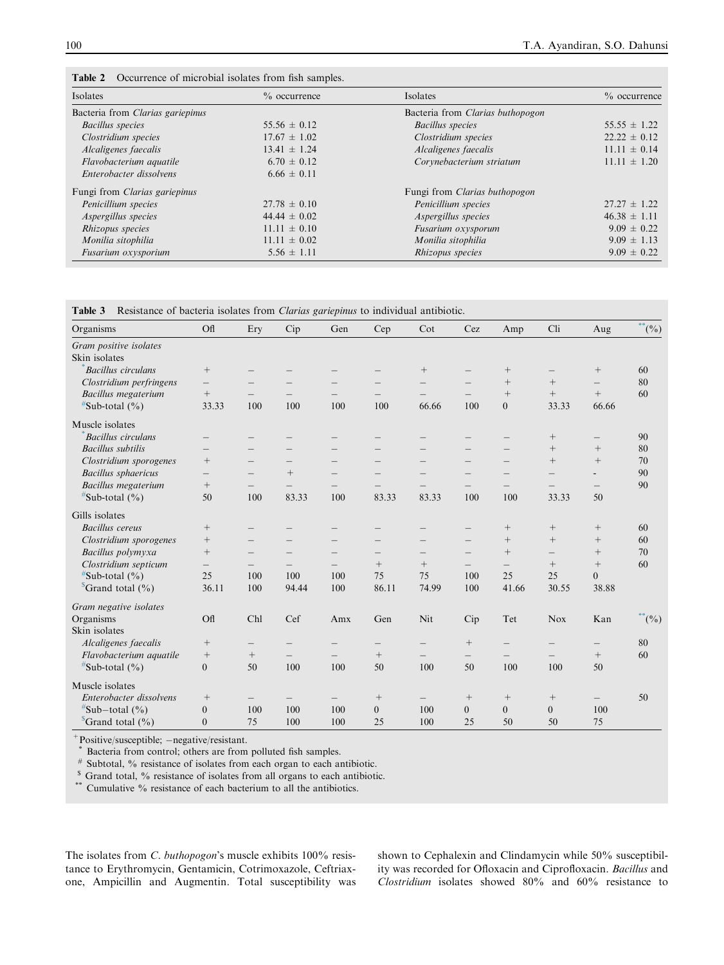| Isolates<br>$\%$ occurrence          |                  | Isolates                             | $\%$ occurrence  |
|--------------------------------------|------------------|--------------------------------------|------------------|
| Bacteria from Clarias gariepinus     |                  | Bacteria from Clarias buthopogon     |                  |
| Bacillus species                     | $55.56 \pm 0.12$ | <b>Bacillus</b> species              | $55.55 \pm 1.22$ |
| Clostridium species                  | $17.67 \pm 1.02$ | Clostridium species                  | $22.22 \pm 0.12$ |
| Alcaligenes faecalis                 | $13.41 \pm 1.24$ | Alcaligenes faecalis                 | $11.11 \pm 0.14$ |
| Flavobacterium aquatile              | $6.70 \pm 0.12$  | Corynebacterium striatum             | $11.11 \pm 1.20$ |
| Enterobacter dissolvens              | $6.66 \pm 0.11$  |                                      |                  |
| Fungi from <i>Clarias gariepinus</i> |                  | Fungi from <i>Clarias buthopogon</i> |                  |
| Penicillium species                  | $27.78 \pm 0.10$ | Penicillium species                  | $27.27 \pm 1.22$ |
| Aspergillus species                  | $44.44 \pm 0.02$ | Aspergillus species                  | $46.38 \pm 1.11$ |
| Rhizopus species                     | $11.11 \pm 0.10$ | Fusarium oxysporum                   | $9.09 \pm 0.22$  |
| Monilia sitophilia                   | $11.11 \pm 0.02$ | Monilia sitophilia                   | $9.09 \pm 1.13$  |
| Fusarium oxysporium                  | $5.56 \pm 1.11$  | Rhizopus species                     | $9.09 \pm 0.22$  |

<span id="page-4-0"></span>

|  | Table 2 | Occurrence of microbial isolates from fish samples. |  |  |  |  |  |  |
|--|---------|-----------------------------------------------------|--|--|--|--|--|--|
|--|---------|-----------------------------------------------------|--|--|--|--|--|--|

# Table 3 Resistance of bacteria isolates from Clarias gariepinus to individual antibiotic.

| Organisms                   | Ofl                      | Ery                      | Cip    | Gen                      | Cep                             | Cot                      | Cez               | Amp                      | Cli                      | Aug                      | $^{**}$ (%)        |
|-----------------------------|--------------------------|--------------------------|--------|--------------------------|---------------------------------|--------------------------|-------------------|--------------------------|--------------------------|--------------------------|--------------------|
| Gram positive isolates      |                          |                          |        |                          |                                 |                          |                   |                          |                          |                          |                    |
| Skin isolates               |                          |                          |        |                          |                                 |                          |                   |                          |                          |                          |                    |
| <b>Bacillus</b> circulans   |                          |                          |        |                          |                                 | $^{+}$                   |                   | $^{+}$                   | $\qquad \qquad -$        |                          | 60                 |
| Clostridium perfringens     | $\overline{\phantom{0}}$ | $\overline{\phantom{0}}$ |        | —                        | $\overline{\phantom{m}}$        |                          |                   | $^{+}$                   | $^{+}$                   | $\overline{\phantom{m}}$ | 80                 |
| <b>Bacillus</b> megaterium  | $\boldsymbol{+}$         |                          |        | $\qquad \qquad -$        | $\hspace{0.1mm}-\hspace{0.1mm}$ | $\qquad \qquad -$        | $\qquad \qquad -$ | $+$                      | $+$                      | $\boldsymbol{+}$         | 60                 |
| $*$ Sub-total $(\% )$       | 33.33                    | 100                      | 100    | 100                      | 100                             | 66.66                    | 100               | $\overline{0}$           | 33.33                    | 66.66                    |                    |
| Muscle isolates             |                          |                          |        |                          |                                 |                          |                   |                          |                          |                          |                    |
| <b>Bacillus</b> circulans   | $\qquad \qquad -$        |                          |        | —                        |                                 |                          |                   |                          | $\! +$                   | $\qquad \qquad -$        | 90                 |
| <b>Bacillus</b> subtilis    | $\overline{\phantom{m}}$ | $\overline{\phantom{0}}$ |        | $\overline{\phantom{0}}$ |                                 |                          |                   | $\overline{\phantom{0}}$ | $+$                      |                          | 80                 |
| Clostridium sporogenes      | $^{+}$                   | —                        |        | —                        | $\qquad \qquad -$               | $\overline{\phantom{0}}$ | -                 | $\qquad \qquad -$        | $+$                      |                          | 70                 |
| <b>Bacillus</b> sphaericus  | $\qquad \qquad -$        | —                        | $^{+}$ |                          |                                 |                          |                   |                          |                          | $\overline{\phantom{a}}$ | 90                 |
| <b>Bacillus</b> megaterium  | $+$                      | $\overline{\phantom{0}}$ |        |                          |                                 |                          |                   |                          |                          | $\qquad \qquad -$        | 90                 |
| $*$ Sub-total $(\%)$        | 50                       | 100                      | 83.33  | 100                      | 83.33                           | 83.33                    | 100               | 100                      | 33.33                    | 50                       |                    |
| Gills isolates              |                          |                          |        |                          |                                 |                          |                   |                          |                          |                          |                    |
| <b>Bacillus</b> cereus      | $\boldsymbol{+}$         | —                        |        | —                        |                                 | $\qquad \qquad -$        | —                 | $^{+}$                   | $\! +$                   | $\! + \!\!\!\!$          | 60                 |
| Clostridium sporogenes      | $^{+}$                   | $\qquad \qquad -$        |        |                          |                                 |                          | $\qquad \qquad -$ | $^{+}$                   | $+$                      | $^{+}$                   | 60                 |
| Bacillus polymyxa           | $^{+}$                   | $=$                      |        | $\overline{\phantom{0}}$ |                                 | $\equiv$                 | $=$               | $^{+}$                   | $\qquad \qquad -$        | $^{+}$                   | 70                 |
| Clostridium septicum        |                          |                          |        |                          | $^{+}$                          | $^{+}$                   |                   | $\qquad \qquad -$        | $+$                      |                          | 60                 |
| $\#$ Sub-total $(\% )$      | 25                       | 100                      | 100    | 100                      | 75                              | 75                       | 100               | 25                       | 25                       | $\overline{0}$           |                    |
| $^{\circ}$ Grand total (%)  | 36.11                    | 100                      | 94.44  | 100                      | 86.11                           | 74.99                    | 100               | 41.66                    | 30.55                    | 38.88                    |                    |
| Gram negative isolates      |                          |                          |        |                          |                                 |                          |                   |                          |                          |                          |                    |
| Organisms                   | Of1                      | Chl                      | Cef    | Amx                      | Gen                             | Nit                      | Cip               | Tet                      | <b>Nox</b>               | Kan                      | $\int^{\cdot}$ (%) |
| Skin isolates               |                          |                          |        |                          |                                 |                          |                   |                          |                          |                          |                    |
| Alcaligenes faecalis        | $^+$                     | —                        |        | —                        |                                 | $\qquad \qquad -$        |                   | $\qquad \qquad -$        |                          | $\qquad \qquad -$        | 80                 |
| Flavobacterium aquatile     | $\boldsymbol{+}$         | $\boldsymbol{+}$         |        | $\qquad \qquad -$        | $^{+}$                          | $\overline{\phantom{0}}$ | $\qquad \qquad -$ | $\qquad \qquad -$        | $\overline{\phantom{0}}$ | $^{+}$                   | 60                 |
| $*$ Sub-total $(\% )$       | $\overline{0}$           | 50                       | 100    | 100                      | 50                              | 100                      | 50                | 100                      | 100                      | 50                       |                    |
| Muscle isolates             |                          |                          |        |                          |                                 |                          |                   |                          |                          |                          |                    |
| Enterobacter dissolvens     | $+$                      |                          |        |                          |                                 | $\qquad \qquad -$        |                   | $^{+}$                   | $\! +$                   | $\qquad \qquad -$        | 50                 |
| $\text{``Sub–total } (\% )$ | $\overline{0}$           | 100                      | 100    | 100                      | $\overline{0}$                  | 100                      | $\overline{0}$    | $\overline{0}$           | $\overline{0}$           | 100                      |                    |
| $^{\circ}$ Grand total (%)  | $\overline{0}$           | 75                       | 100    | 100                      | 25                              | 100                      | 25                | 50                       | 50                       | 75                       |                    |

+Positive/susceptible; negative/resistant. \* Bacteria from control; others are from polluted fish samples.

<sup>#</sup> Subtotal, % resistance of isolates from each organ to each antibiotic.<br><sup>\$</sup> Grand total, % resistance of isolates from all organs to each antibiotic.

Cumulative % resistance of each bacterium to all the antibiotics.

The isolates from *C. buthopogon's* muscle exhibits 100% resistance to Erythromycin, Gentamicin, Cotrimoxazole, Ceftriaxone, Ampicillin and Augmentin. Total susceptibility was shown to Cephalexin and Clindamycin while 50% susceptibility was recorded for Ofloxacin and Ciprofloxacin. Bacillus and Clostridium isolates showed 80% and 60% resistance to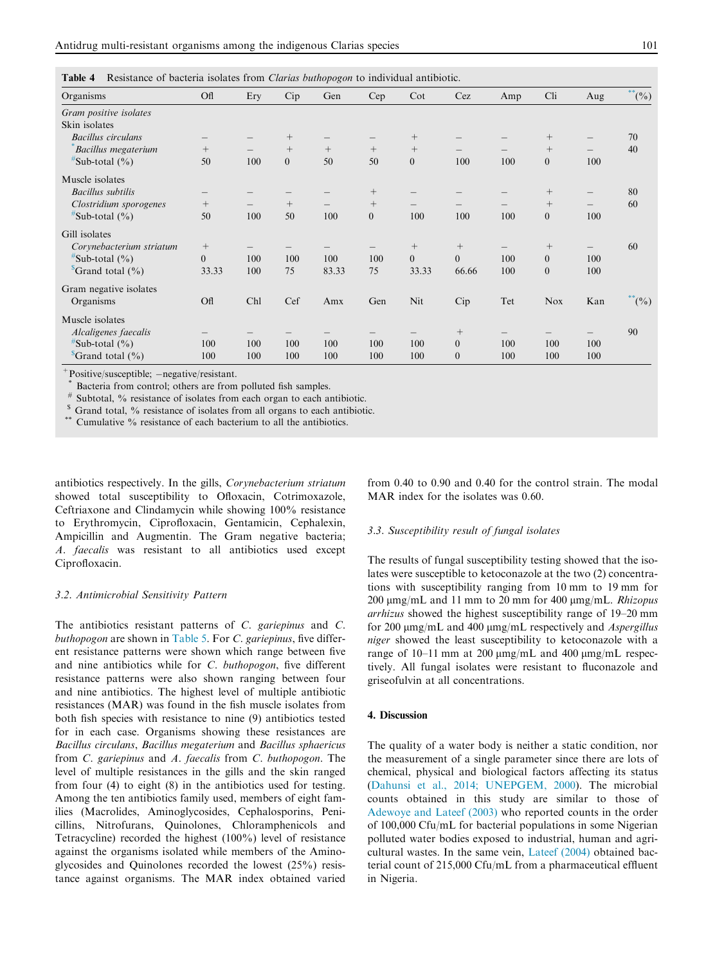| Resistance of bacteria isolates from Clarias buthopogon to individual antibiotic. |          |     |                  |        |                |                   |                  |     |                |     |             |
|-----------------------------------------------------------------------------------|----------|-----|------------------|--------|----------------|-------------------|------------------|-----|----------------|-----|-------------|
| Organisms                                                                         | Ofl      | Ery | Cip              | Gen    | Cep            | $\cot$            | Cez              | Amp | Cli            | Aug | $^{**}$ (%) |
| Gram positive isolates                                                            |          |     |                  |        |                |                   |                  |     |                |     |             |
| Skin isolates                                                                     |          |     |                  |        |                |                   |                  |     |                |     |             |
| <b>Bacillus</b> circulans                                                         |          |     | $^{+}$           |        |                | $^{+}$            |                  |     | $^{+}$         |     | 70          |
| <b>Bacillus</b> megaterium                                                        | $^{+}$   |     | $+$              | $^{+}$ | $+$            | $+$               |                  |     | $^{+}$         |     | 40          |
| $\sqrt[#]{$ Sub-total (%)                                                         | 50       | 100 | $\boldsymbol{0}$ | 50     | 50             | $\boldsymbol{0}$  | 100              | 100 | $\overline{0}$ | 100 |             |
| Muscle isolates                                                                   |          |     |                  |        |                |                   |                  |     |                |     |             |
| <b>Bacillus</b> subtilis                                                          |          |     |                  |        | $^{+}$         |                   |                  |     | $^{+}$         |     | 80          |
| Clostridium sporogenes                                                            | $^{+}$   |     | $^{+}$           |        | $^{+}$         | $\qquad \qquad -$ |                  |     | $^{+}$         |     | 60          |
| $\sqrt[#]{$ Sub-total (%)                                                         | 50       | 100 | 50               | 100    | $\overline{0}$ | 100               | 100              | 100 | $\overline{0}$ | 100 |             |
| Gill isolates                                                                     |          |     |                  |        |                |                   |                  |     |                |     |             |
| Corynebacterium striatum                                                          | $^{+}$   |     |                  |        |                | $^{+}$            | $^{+}$           |     | $^{+}$         |     | 60          |
| $*$ Sub-total $(\% )$                                                             | $\theta$ | 100 | 100              | 100    | 100            | $\overline{0}$    | $\Omega$         | 100 | $\overline{0}$ | 100 |             |
| $\sqrt[3]{\text{Grand total } (\%)}$                                              | 33.33    | 100 | 75               | 83.33  | 75             | 33.33             | 66.66            | 100 | $\mathbf{0}$   | 100 |             |
| Gram negative isolates                                                            |          |     |                  |        |                |                   |                  |     |                |     |             |
| Organisms                                                                         | Ofl      | Chl | Cef              | Amx    | Gen            | Nit               | Cip              | Tet | <b>Nox</b>     | Kan | $^{**}$ (%) |
| Muscle isolates                                                                   |          |     |                  |        |                |                   |                  |     |                |     |             |
| Alcaligenes faecalis                                                              |          |     |                  |        |                |                   | $\! + \!\!\!\!$  |     |                |     | 90          |
| $*$ Sub-total $(\% )$                                                             | 100      | 100 | 100              | 100    | 100            | 100               | $\boldsymbol{0}$ | 100 | 100            | 100 |             |
| $^{\circ}$ Grand total $(\% )$                                                    | 100      | 100 | 100              | 100    | 100            | 100               | $\theta$         | 100 | 100            | 100 |             |

<span id="page-5-0"></span>Table 4 Resistance of bacteria isolates from *Clarias buthopogon* to individual antibiotic.

+ Positive/susceptible; -negative/resistant.<br>\* Bacteria from control; others are from polluted fish samples.

# Subtotal, % resistance of isolates from each organ to each antibiotic.

 $\frac{s}{s}$  Grand total,  $\%$  resistance of isolates from all organs to each antibiotic.  $\frac{s}{s}$  Cumulative  $\%$  resistance of each bacterium to all the antibiotics.

antibiotics respectively. In the gills, Corynebacterium striatum showed total susceptibility to Ofloxacin, Cotrimoxazole, Ceftriaxone and Clindamycin while showing 100% resistance to Erythromycin, Ciprofloxacin, Gentamicin, Cephalexin, Ampicillin and Augmentin. The Gram negative bacteria; A. faecalis was resistant to all antibiotics used except Ciprofloxacin.

#### 3.2. Antimicrobial Sensitivity Pattern

The antibiotics resistant patterns of C. gariepinus and C. buthopogon are shown in [Table 5](#page-6-0). For C. gariepinus, five different resistance patterns were shown which range between five and nine antibiotics while for C. buthopogon, five different resistance patterns were also shown ranging between four and nine antibiotics. The highest level of multiple antibiotic resistances (MAR) was found in the fish muscle isolates from both fish species with resistance to nine (9) antibiotics tested for in each case. Organisms showing these resistances are Bacillus circulans, Bacillus megaterium and Bacillus sphaericus from C. gariepinus and A. faecalis from C. buthopogon. The level of multiple resistances in the gills and the skin ranged from four (4) to eight (8) in the antibiotics used for testing. Among the ten antibiotics family used, members of eight families (Macrolides, Aminoglycosides, Cephalosporins, Penicillins, Nitrofurans, Quinolones, Chloramphenicols and Tetracycline) recorded the highest (100%) level of resistance against the organisms isolated while members of the Aminoglycosides and Quinolones recorded the lowest (25%) resistance against organisms. The MAR index obtained varied from 0.40 to 0.90 and 0.40 for the control strain. The modal MAR index for the isolates was 0.60.

#### 3.3. Susceptibility result of fungal isolates

The results of fungal susceptibility testing showed that the isolates were susceptible to ketoconazole at the two (2) concentrations with susceptibility ranging from 10 mm to 19 mm for  $200 \mu mg/mL$  and 11 mm to 20 mm for 400  $\mu mg/mL$ . *Rhizopus* arrhizus showed the highest susceptibility range of 19–20 mm for 200  $\mu$ mg/mL and 400  $\mu$ mg/mL respectively and *Aspergillus* niger showed the least susceptibility to ketoconazole with a range of 10–11 mm at 200  $\mu$ mg/mL and 400  $\mu$ mg/mL respectively. All fungal isolates were resistant to fluconazole and griseofulvin at all concentrations.

#### 4. Discussion

The quality of a water body is neither a static condition, nor the measurement of a single parameter since there are lots of chemical, physical and biological factors affecting its status [\(Dahunsi et al., 2014; UNEPGEM, 2000\)](#page-8-0). The microbial counts obtained in this study are similar to those of [Adewoye and Lateef \(2003\)](#page-8-0) who reported counts in the order of 100,000 Cfu/mL for bacterial populations in some Nigerian polluted water bodies exposed to industrial, human and agricultural wastes. In the same vein, [Lateef \(2004\)](#page-9-0) obtained bacterial count of 215,000 Cfu/mL from a pharmaceutical effluent in Nigeria.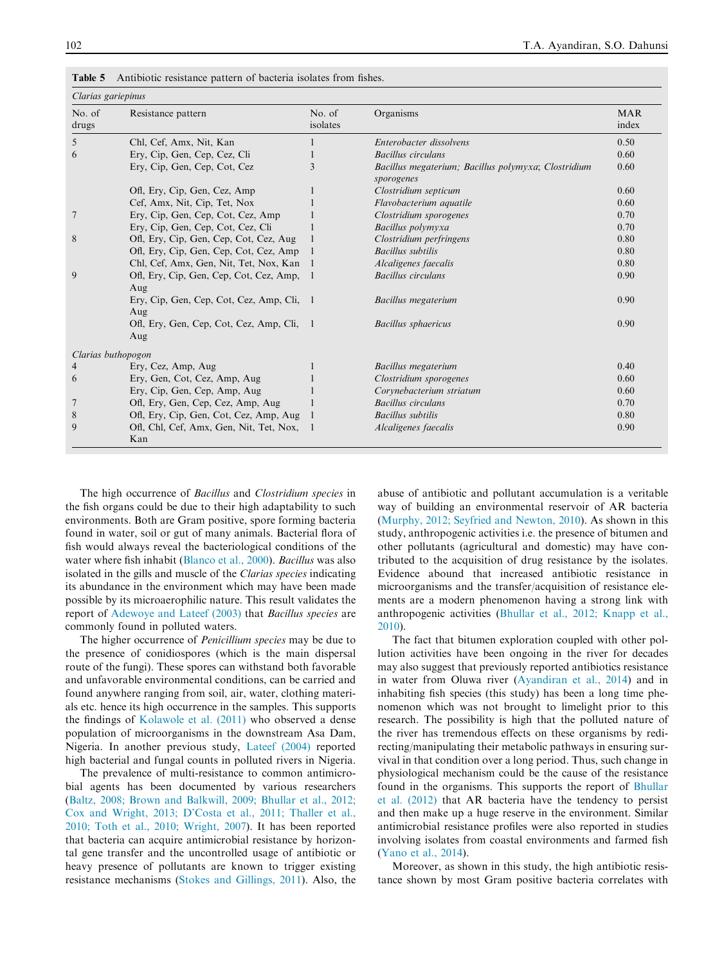| Clarias gariepinus |                                                  |                    |                                                                   |                     |
|--------------------|--------------------------------------------------|--------------------|-------------------------------------------------------------------|---------------------|
| No. of<br>drugs    | Resistance pattern                               | No. of<br>isolates | Organisms                                                         | <b>MAR</b><br>index |
| 5                  | Chl, Cef, Amx, Nit, Kan                          |                    | Enterobacter dissolvens                                           | 0.50                |
| 6                  | Ery, Cip, Gen, Cep, Cez, Cli                     |                    | <b>Bacillus</b> circulans                                         | 0.60                |
|                    | Ery, Cip, Gen, Cep, Cot, Cez                     | 3                  | Bacillus megaterium; Bacillus polymyxa; Clostridium<br>sporogenes | 0.60                |
|                    | Ofl, Ery, Cip, Gen, Cez, Amp                     |                    | Clostridium septicum                                              | 0.60                |
|                    | Cef, Amx, Nit, Cip, Tet, Nox                     |                    | Flavobacterium aquatile                                           | 0.60                |
| 7                  | Ery, Cip, Gen, Cep, Cot, Cez, Amp                |                    | Clostridium sporogenes                                            | 0.70                |
|                    | Ery, Cip, Gen, Cep, Cot, Cez, Cli                |                    | Bacillus polymyxa                                                 | 0.70                |
| 8                  | Ofl, Ery, Cip, Gen, Cep, Cot, Cez, Aug           |                    | Clostridium perfringens                                           | 0.80                |
|                    | Ofl, Ery, Cip, Gen, Cep, Cot, Cez, Amp           |                    | <b>Bacillus</b> subtilis                                          | 0.80                |
|                    | Chl, Cef, Amx, Gen, Nit, Tet, Nox, Kan 1         |                    | Alcaligenes faecalis                                              | 0.80                |
| 9                  | Ofl, Ery, Cip, Gen, Cep, Cot, Cez, Amp, 1<br>Aug |                    | <b>Bacillus</b> circulans                                         | 0.90                |
|                    | Ery, Cip, Gen, Cep, Cot, Cez, Amp, Cli, 1<br>Aug |                    | Bacillus megaterium                                               | 0.90                |
|                    | Ofl, Ery, Gen, Cep, Cot, Cez, Amp, Cli, 1<br>Aug |                    | <b>Bacillus</b> sphaericus                                        | 0.90                |
| Clarias buthopogon |                                                  |                    |                                                                   |                     |
| 4                  | Ery, Cez, Amp, Aug                               | 1                  | Bacillus megaterium                                               | 0.40                |
| 6                  | Ery, Gen, Cot, Cez, Amp, Aug                     |                    | Clostridium sporogenes                                            | 0.60                |
|                    | Ery, Cip, Gen, Cep, Amp, Aug                     |                    | Corynebacterium striatum                                          | 0.60                |
|                    | Ofl, Ery, Gen, Cep, Cez, Amp, Aug                |                    | <b>Bacillus</b> circulans                                         | 0.70                |
| 8                  | Ofl, Ery, Cip, Gen, Cot, Cez, Amp, Aug           | - 1                | Bacillus subtilis                                                 | 0.80                |
| 9                  | Ofl, Chl, Cef, Amx, Gen, Nit, Tet, Nox,<br>Kan   | $\blacksquare$     | Alcaligenes faecalis                                              | 0.90                |

<span id="page-6-0"></span>Table 5 Antibiotic resistance pattern of bacteria isolates from fishes.

The high occurrence of Bacillus and Clostridium species in the fish organs could be due to their high adaptability to such environments. Both are Gram positive, spore forming bacteria found in water, soil or gut of many animals. Bacterial flora of fish would always reveal the bacteriological conditions of the water where fish inhabit ([Blanco et al., 2000](#page-8-0)). Bacillus was also isolated in the gills and muscle of the Clarias species indicating its abundance in the environment which may have been made possible by its microaerophilic nature. This result validates the report of [Adewoye and Lateef \(2003\)](#page-8-0) that Bacillus species are commonly found in polluted waters.

The higher occurrence of *Penicillium species* may be due to the presence of conidiospores (which is the main dispersal route of the fungi). These spores can withstand both favorable and unfavorable environmental conditions, can be carried and found anywhere ranging from soil, air, water, clothing materials etc. hence its high occurrence in the samples. This supports the findings of [Kolawole et al. \(2011\)](#page-9-0) who observed a dense population of microorganisms in the downstream Asa Dam, Nigeria. In another previous study, [Lateef \(2004\)](#page-9-0) reported high bacterial and fungal counts in polluted rivers in Nigeria.

The prevalence of multi-resistance to common antimicrobial agents has been documented by various researchers ([Baltz, 2008; Brown and Balkwill, 2009; Bhullar et al., 2012;](#page-8-0) [Cox and Wright, 2013; D'Costa et al., 2011; Thaller et al.,](#page-8-0) [2010; Toth et al., 2010; Wright, 2007\)](#page-8-0). It has been reported that bacteria can acquire antimicrobial resistance by horizontal gene transfer and the uncontrolled usage of antibiotic or heavy presence of pollutants are known to trigger existing resistance mechanisms [\(Stokes and Gillings, 2011](#page-9-0)). Also, the abuse of antibiotic and pollutant accumulation is a veritable way of building an environmental reservoir of AR bacteria ([Murphy, 2012; Seyfried and Newton, 2010\)](#page-9-0). As shown in this study, anthropogenic activities i.e. the presence of bitumen and other pollutants (agricultural and domestic) may have contributed to the acquisition of drug resistance by the isolates. Evidence abound that increased antibiotic resistance in microorganisms and the transfer/acquisition of resistance elements are a modern phenomenon having a strong link with anthropogenic activities [\(Bhullar et al., 2012; Knapp et al.,](#page-8-0) [2010\)](#page-8-0).

The fact that bitumen exploration coupled with other pollution activities have been ongoing in the river for decades may also suggest that previously reported antibiotics resistance in water from Oluwa river ([Ayandiran et al., 2014\)](#page-8-0) and in inhabiting fish species (this study) has been a long time phenomenon which was not brought to limelight prior to this research. The possibility is high that the polluted nature of the river has tremendous effects on these organisms by redirecting/manipulating their metabolic pathways in ensuring survival in that condition over a long period. Thus, such change in physiological mechanism could be the cause of the resistance found in the organisms. This supports the report of [Bhullar](#page-8-0) [et al. \(2012\)](#page-8-0) that AR bacteria have the tendency to persist and then make up a huge reserve in the environment. Similar antimicrobial resistance profiles were also reported in studies involving isolates from coastal environments and farmed fish ([Yano et al., 2014\)](#page-9-0).

Moreover, as shown in this study, the high antibiotic resistance shown by most Gram positive bacteria correlates with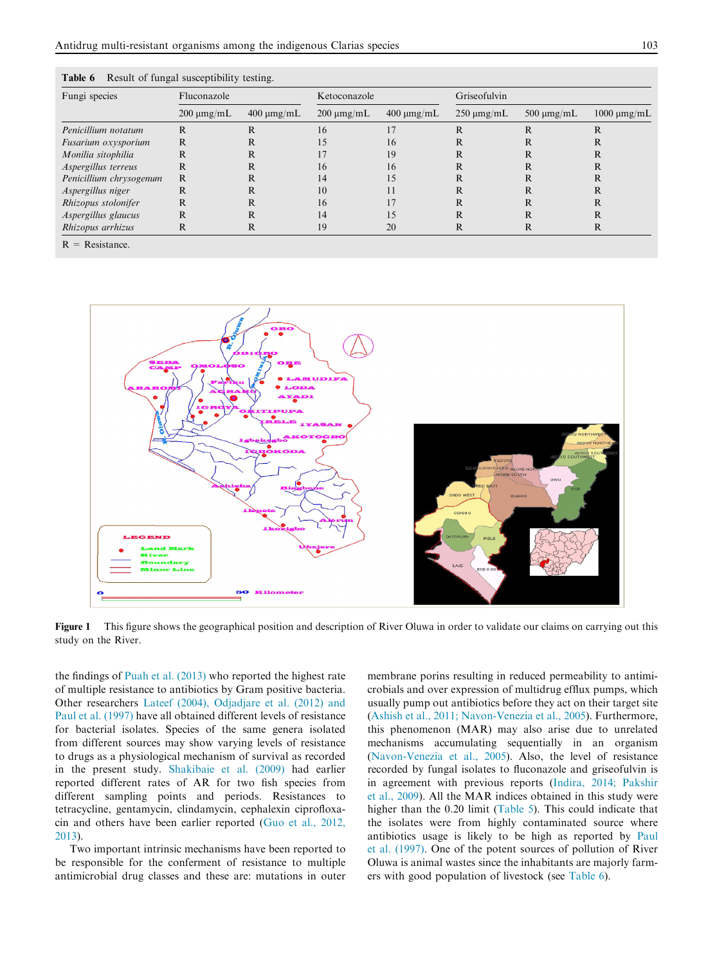| Fungi species           | Fluconazole     |                 | Ketoconazole    |                 | Griseofulvin    |                 |                  |
|-------------------------|-----------------|-----------------|-----------------|-----------------|-----------------|-----------------|------------------|
|                         | $200 \mu mg/mL$ | $400 \mu mg/mL$ | $200 \mu mg/mL$ | $400 \mu mg/mL$ | $250 \mu mg/mL$ | 500 $\mu$ mg/mL | $1000 \mu mg/mL$ |
| Penicillium notatum     | R               | R               | 16              | 17              | R               |                 | R                |
| Fusarium oxysporium     | R               | R               | 15              | 16              | R               | R               | R                |
| Monilia sitophilia      | R               | R               |                 | 19              | R               |                 | R                |
| Aspergillus terreus     | R               | R               | 16              | 16              | R               |                 | R                |
| Penicillium chrysogenum | R               | R               | 14              | 15              | R               | R               | R                |
| Aspergillus niger       | R               | R               | 10              | 11              | R               |                 |                  |
| Rhizopus stolonifer     | R               | R               | 16              |                 | R               | R               | R                |
| Aspergillus glaucus     | R               | R               | 14              | 15              | R               | R               | R                |
| Rhizopus arrhizus       | R               | R               | 19              | 20              | R               |                 | R                |
| $D = D$ orientation     |                 |                 |                 |                 |                 |                 |                  |

<span id="page-7-0"></span>

|  |  |  |  | Table 6 Result of fungal susceptibility testing. |  |
|--|--|--|--|--------------------------------------------------|--|
|--|--|--|--|--------------------------------------------------|--|

R = Resistance.



Figure 1 This figure shows the geographical position and description of River Oluwa in order to validate our claims on carrying out this study on the River.

the findings of [Puah et al. \(2013\)](#page-9-0) who reported the highest rate of multiple resistance to antibiotics by Gram positive bacteria. Other researchers [Lateef \(2004\), Odjadjare et al. \(2012\) and](#page-9-0) [Paul et al. \(1997\)](#page-9-0) have all obtained different levels of resistance for bacterial isolates. Species of the same genera isolated from different sources may show varying levels of resistance to drugs as a physiological mechanism of survival as recorded in the present study. [Shakibaie et al. \(2009\)](#page-9-0) had earlier reported different rates of AR for two fish species from different sampling points and periods. Resistances to tetracycline, gentamycin, clindamycin, cephalexin ciprofloxacin and others have been earlier reported ([Guo et al., 2012,](#page-8-0) [2013](#page-8-0)).

Two important intrinsic mechanisms have been reported to be responsible for the conferment of resistance to multiple antimicrobial drug classes and these are: mutations in outer membrane porins resulting in reduced permeability to antimicrobials and over expression of multidrug efflux pumps, which usually pump out antibiotics before they act on their target site [\(Ashish et al., 2011; Navon-Venezia et al., 2005](#page-8-0)). Furthermore, this phenomenon (MAR) may also arise due to unrelated mechanisms accumulating sequentially in an organism [\(Navon-Venezia et al., 2005\)](#page-9-0). Also, the level of resistance recorded by fungal isolates to fluconazole and griseofulvin is in agreement with previous reports [\(Indira, 2014; Pakshir](#page-8-0) [et al., 2009\)](#page-8-0). All the MAR indices obtained in this study were higher than the 0.20 limit [\(Table 5\)](#page-6-0). This could indicate that the isolates were from highly contaminated source where antibiotics usage is likely to be high as reported by [Paul](#page-9-0) [et al. \(1997\)](#page-9-0). One of the potent sources of pollution of River Oluwa is animal wastes since the inhabitants are majorly farmers with good population of livestock (see Table 6).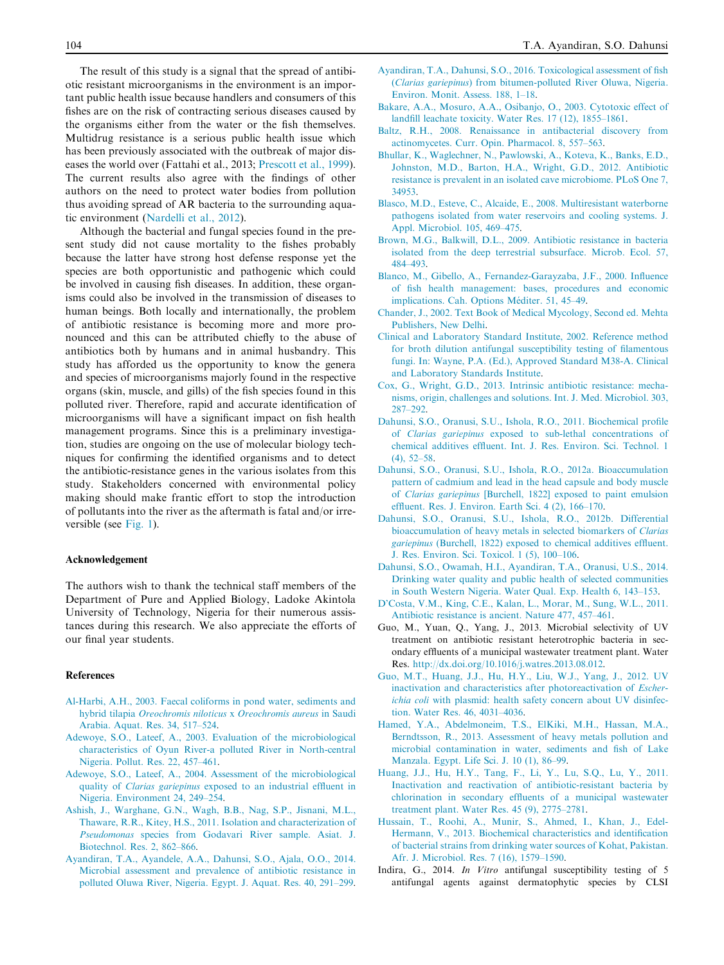<span id="page-8-0"></span>The result of this study is a signal that the spread of antibiotic resistant microorganisms in the environment is an important public health issue because handlers and consumers of this fishes are on the risk of contracting serious diseases caused by the organisms either from the water or the fish themselves. Multidrug resistance is a serious public health issue which has been previously associated with the outbreak of major diseases the world over (Fattahi et al., 2013; [Prescott et al., 1999](#page-9-0)). The current results also agree with the findings of other authors on the need to protect water bodies from pollution thus avoiding spread of AR bacteria to the surrounding aquatic environment [\(Nardelli et al., 2012\)](#page-9-0).

Although the bacterial and fungal species found in the present study did not cause mortality to the fishes probably because the latter have strong host defense response yet the species are both opportunistic and pathogenic which could be involved in causing fish diseases. In addition, these organisms could also be involved in the transmission of diseases to human beings. Both locally and internationally, the problem of antibiotic resistance is becoming more and more pronounced and this can be attributed chiefly to the abuse of antibiotics both by humans and in animal husbandry. This study has afforded us the opportunity to know the genera and species of microorganisms majorly found in the respective organs (skin, muscle, and gills) of the fish species found in this polluted river. Therefore, rapid and accurate identification of microorganisms will have a significant impact on fish health management programs. Since this is a preliminary investigation, studies are ongoing on the use of molecular biology techniques for confirming the identified organisms and to detect the antibiotic-resistance genes in the various isolates from this study. Stakeholders concerned with environmental policy making should make frantic effort to stop the introduction of pollutants into the river as the aftermath is fatal and/or irreversible (see [Fig. 1\)](#page-7-0).

#### Acknowledgement

The authors wish to thank the technical staff members of the Department of Pure and Applied Biology, Ladoke Akintola University of Technology, Nigeria for their numerous assistances during this research. We also appreciate the efforts of our final year students.

#### References

- [Al-Harbi, A.H., 2003. Faecal coliforms in pond water, sediments and](http://refhub.elsevier.com/S1018-3647(16)00004-5/h0005) hybrid tilapia [Oreochromis niloticus](http://refhub.elsevier.com/S1018-3647(16)00004-5/h0005) x Oreochromis aureus in Saudi [Arabia. Aquat. Res. 34, 517–524](http://refhub.elsevier.com/S1018-3647(16)00004-5/h0005).
- [Adewoye, S.O., Lateef, A., 2003. Evaluation of the microbiological](http://refhub.elsevier.com/S1018-3647(16)00004-5/h0010) [characteristics of Oyun River-a polluted River in North-central](http://refhub.elsevier.com/S1018-3647(16)00004-5/h0010) [Nigeria. Pollut. Res. 22, 457–461.](http://refhub.elsevier.com/S1018-3647(16)00004-5/h0010)
- [Adewoye, S.O., Lateef, A., 2004. Assessment of the microbiological](http://refhub.elsevier.com/S1018-3647(16)00004-5/h0015) quality of Clarias gariepinus [exposed to an industrial effluent in](http://refhub.elsevier.com/S1018-3647(16)00004-5/h0015) [Nigeria. Environment 24, 249–254](http://refhub.elsevier.com/S1018-3647(16)00004-5/h0015).
- [Ashish, J., Warghane, G.N., Wagh, B.B., Nag, S.P., Jisnani, M.L.,](http://refhub.elsevier.com/S1018-3647(16)00004-5/h0020) [Thaware, R.R., Kitey, H.S., 2011. Isolation and characterization of](http://refhub.elsevier.com/S1018-3647(16)00004-5/h0020) Pseudomonas [species from Godavari River sample. Asiat. J.](http://refhub.elsevier.com/S1018-3647(16)00004-5/h0020) [Biotechnol. Res](http://refhub.elsevier.com/S1018-3647(16)00004-5/h0020). 2, 862–866.
- [Ayandiran, T.A., Ayandele, A.A., Dahunsi, S.O., Ajala, O.O., 2014.](http://refhub.elsevier.com/S1018-3647(16)00004-5/h0025) [Microbial assessment and prevalence of antibiotic resistance in](http://refhub.elsevier.com/S1018-3647(16)00004-5/h0025) [polluted Oluwa River, Nigeria. Egypt. J. Aquat. Res. 40, 291–299.](http://refhub.elsevier.com/S1018-3647(16)00004-5/h0025)
- [Ayandiran, T.A., Dahunsi, S.O., 2016. Toxicological assessment of fish](http://refhub.elsevier.com/S1018-3647(16)00004-5/h0030) (Clarias gariepinus[\) from bitumen-polluted River Oluwa, Nigeria.](http://refhub.elsevier.com/S1018-3647(16)00004-5/h0030) [Environ. Monit. Assess. 188, 1–18](http://refhub.elsevier.com/S1018-3647(16)00004-5/h0030).
- [Bakare, A.A., Mosuro, A.A., Osibanjo, O., 2003. Cytotoxic effect of](http://refhub.elsevier.com/S1018-3647(16)00004-5/h0035) [landfill leachate toxicity. Water Res](http://refhub.elsevier.com/S1018-3647(16)00004-5/h0035). 17 (12), 1855–1861.
- [Baltz, R.H., 2008. Renaissance in antibacterial discovery from](http://refhub.elsevier.com/S1018-3647(16)00004-5/h0040) [actinomycetes. Curr. Opin. Pharmacol. 8, 557–563.](http://refhub.elsevier.com/S1018-3647(16)00004-5/h0040)
- [Bhullar, K., Waglechner, N., Pawlowski, A., Koteva, K., Banks, E.D.,](http://refhub.elsevier.com/S1018-3647(16)00004-5/h0045) [Johnston, M.D., Barton, H.A., Wright, G.D., 2012. Antibiotic](http://refhub.elsevier.com/S1018-3647(16)00004-5/h0045) [resistance is prevalent in an isolated cave microbiome. PLoS One 7,](http://refhub.elsevier.com/S1018-3647(16)00004-5/h0045) [34953](http://refhub.elsevier.com/S1018-3647(16)00004-5/h0045).
- [Blasco, M.D., Esteve, C., Alcaide, E., 2008. Multiresistant waterborne](http://refhub.elsevier.com/S1018-3647(16)00004-5/h0050) [pathogens isolated from water reservoirs and cooling systems. J.](http://refhub.elsevier.com/S1018-3647(16)00004-5/h0050) [Appl. Microbiol. 105, 469–475.](http://refhub.elsevier.com/S1018-3647(16)00004-5/h0050)
- [Brown, M.G., Balkwill, D.L., 2009. Antibiotic resistance in bacteria](http://refhub.elsevier.com/S1018-3647(16)00004-5/h0055) [isolated from the deep terrestrial subsurface. Microb. Ecol. 57,](http://refhub.elsevier.com/S1018-3647(16)00004-5/h0055) [484–493](http://refhub.elsevier.com/S1018-3647(16)00004-5/h0055).
- [Blanco, M., Gibello, A., Fernandez-Garayzaba, J.F., 2000. Influence](http://refhub.elsevier.com/S1018-3647(16)00004-5/h0060) [of fish health management: bases, procedures and economic](http://refhub.elsevier.com/S1018-3647(16)00004-5/h0060) implications. Cah. Options Méditer. 51, 45-49.
- [Chander, J., 2002. Text Book of Medical Mycology, Second ed. Mehta](http://refhub.elsevier.com/S1018-3647(16)00004-5/h0065) [Publishers, New Delhi](http://refhub.elsevier.com/S1018-3647(16)00004-5/h0065).
- [Clinical and Laboratory Standard Institute, 2002. Reference method](http://refhub.elsevier.com/S1018-3647(16)00004-5/h0070) [for broth dilution antifungal susceptibility testing of filamentous](http://refhub.elsevier.com/S1018-3647(16)00004-5/h0070) [fungi. In: Wayne, P.A. \(Ed.\), Approved Standard M38-A. Clinical](http://refhub.elsevier.com/S1018-3647(16)00004-5/h0070) [and Laboratory Standards Institute.](http://refhub.elsevier.com/S1018-3647(16)00004-5/h0070)
- [Cox, G., Wright, G.D., 2013. Intrinsic antibiotic resistance: mecha](http://refhub.elsevier.com/S1018-3647(16)00004-5/h0075)[nisms, origin, challenges and solutions. Int. J. Med. Microbiol. 303,](http://refhub.elsevier.com/S1018-3647(16)00004-5/h0075) [287–292](http://refhub.elsevier.com/S1018-3647(16)00004-5/h0075).
- [Dahunsi, S.O., Oranusi, S.U., Ishola, R.O., 2011. Biochemical profile](http://refhub.elsevier.com/S1018-3647(16)00004-5/h0080) of Clarias gariepinus [exposed to sub-lethal concentrations of](http://refhub.elsevier.com/S1018-3647(16)00004-5/h0080) [chemical additives effluent. Int. J. Res. Environ. Sci. Technol. 1](http://refhub.elsevier.com/S1018-3647(16)00004-5/h0080) [\(4\), 52–58](http://refhub.elsevier.com/S1018-3647(16)00004-5/h0080).
- [Dahunsi, S.O., Oranusi, S.U., Ishola, R.O., 2012a. Bioaccumulation](http://refhub.elsevier.com/S1018-3647(16)00004-5/h0085) [pattern of cadmium and lead in the head capsule and body muscle](http://refhub.elsevier.com/S1018-3647(16)00004-5/h0085) of Clarias gariepinus [\[Burchell, 1822\] exposed to paint emulsion](http://refhub.elsevier.com/S1018-3647(16)00004-5/h0085) [effluent. Res. J. Environ. Earth Sci. 4 \(2\), 166–170](http://refhub.elsevier.com/S1018-3647(16)00004-5/h0085).
- [Dahunsi, S.O., Oranusi, S.U., Ishola, R.O., 2012b. Differential](http://refhub.elsevier.com/S1018-3647(16)00004-5/h0090) [bioaccumulation of heavy metals in selected biomarkers of](http://refhub.elsevier.com/S1018-3647(16)00004-5/h0090) Clarias gariepinus [\(Burchell, 1822\) exposed to chemical additives effluent.](http://refhub.elsevier.com/S1018-3647(16)00004-5/h0090) [J. Res. Environ. Sci. Toxicol. 1 \(5\), 100–106.](http://refhub.elsevier.com/S1018-3647(16)00004-5/h0090)
- [Dahunsi, S.O., Owamah, H.I., Ayandiran, T.A., Oranusi, U.S., 2014.](http://refhub.elsevier.com/S1018-3647(16)00004-5/h0095) [Drinking water quality and public health of selected communities](http://refhub.elsevier.com/S1018-3647(16)00004-5/h0095) [in South Western Nigeria. Water Qual. Exp. Health 6, 143–153](http://refhub.elsevier.com/S1018-3647(16)00004-5/h0095).
- [D'Costa, V.M., King, C.E., Kalan, L., Morar, M., Sung, W.L., 2011.](http://refhub.elsevier.com/S1018-3647(16)00004-5/h0100) [Antibiotic resistance is ancient. Nature 477, 457–461](http://refhub.elsevier.com/S1018-3647(16)00004-5/h0100).
- Guo, M., Yuan, Q., Yang, J., 2013. Microbial selectivity of UV treatment on antibiotic resistant heterotrophic bacteria in secondary effluents of a municipal wastewater treatment plant. Water Res. <http://dx.doi.org/10.1016/j.watres.2013.08.012>.
- [Guo, M.T., Huang, J.J., Hu, H.Y., Liu, W.J., Yang, J., 2012. UV](http://refhub.elsevier.com/S1018-3647(16)00004-5/h0110) [inactivation and characteristics after photoreactivation of](http://refhub.elsevier.com/S1018-3647(16)00004-5/h0110) Escherichia coli [with plasmid: health safety concern about UV disinfec](http://refhub.elsevier.com/S1018-3647(16)00004-5/h0110)[tion. Water Res. 46, 4031–4036](http://refhub.elsevier.com/S1018-3647(16)00004-5/h0110).
- [Hamed, Y.A., Abdelmoneim, T.S., ElKiki, M.H., Hassan, M.A.,](http://refhub.elsevier.com/S1018-3647(16)00004-5/h0115) [Berndtsson, R., 2013. Assessment of heavy metals pollution and](http://refhub.elsevier.com/S1018-3647(16)00004-5/h0115) [microbial contamination in water, sediments and fish of Lake](http://refhub.elsevier.com/S1018-3647(16)00004-5/h0115) [Manzala. Egypt. Life Sci. J. 10 \(1\), 86–99.](http://refhub.elsevier.com/S1018-3647(16)00004-5/h0115)
- [Huang, J.J., Hu, H.Y., Tang, F., Li, Y., Lu, S.Q., Lu, Y., 2011.](http://refhub.elsevier.com/S1018-3647(16)00004-5/h0120) [Inactivation and reactivation of antibiotic-resistant bacteria by](http://refhub.elsevier.com/S1018-3647(16)00004-5/h0120) [chlorination in secondary effluents of a municipal wastewater](http://refhub.elsevier.com/S1018-3647(16)00004-5/h0120) [treatment plant. Water Res. 45 \(9\), 2775–2781.](http://refhub.elsevier.com/S1018-3647(16)00004-5/h0120)
- [Hussain, T., Roohi, A., Munir, S., Ahmed, I., Khan, J., Edel-](http://refhub.elsevier.com/S1018-3647(16)00004-5/h0125)[Hermann, V., 2013. Biochemical characteristics and identification](http://refhub.elsevier.com/S1018-3647(16)00004-5/h0125) [of bacterial strains from drinking water sources of Kohat, Pakistan.](http://refhub.elsevier.com/S1018-3647(16)00004-5/h0125) [Afr. J. Microbiol. Res. 7 \(16\), 1579–1590.](http://refhub.elsevier.com/S1018-3647(16)00004-5/h0125)
- Indira, G., 2014. In Vitro antifungal susceptibility testing of 5 antifungal agents against dermatophytic species by CLSI